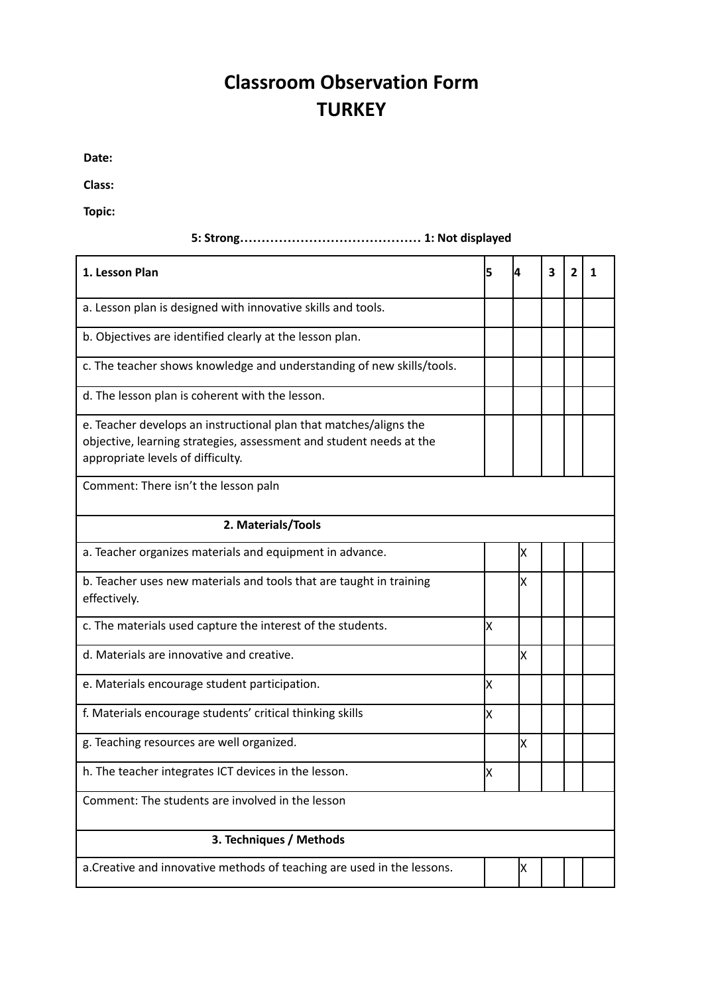## **Classroom Observation Form TURKEY**

**Date:**

**Class:**

**Topic:**

| 1. Lesson Plan                                                                                                                                                                | 5   | 14 | 3 | 2 | 1 |  |  |  |
|-------------------------------------------------------------------------------------------------------------------------------------------------------------------------------|-----|----|---|---|---|--|--|--|
| a. Lesson plan is designed with innovative skills and tools.                                                                                                                  |     |    |   |   |   |  |  |  |
| b. Objectives are identified clearly at the lesson plan.                                                                                                                      |     |    |   |   |   |  |  |  |
| c. The teacher shows knowledge and understanding of new skills/tools.                                                                                                         |     |    |   |   |   |  |  |  |
| d. The lesson plan is coherent with the lesson.                                                                                                                               |     |    |   |   |   |  |  |  |
| e. Teacher develops an instructional plan that matches/aligns the<br>objective, learning strategies, assessment and student needs at the<br>appropriate levels of difficulty. |     |    |   |   |   |  |  |  |
| Comment: There isn't the lesson paln                                                                                                                                          |     |    |   |   |   |  |  |  |
| 2. Materials/Tools                                                                                                                                                            |     |    |   |   |   |  |  |  |
| a. Teacher organizes materials and equipment in advance.                                                                                                                      |     | X  |   |   |   |  |  |  |
| b. Teacher uses new materials and tools that are taught in training<br>effectively.                                                                                           |     | X  |   |   |   |  |  |  |
| c. The materials used capture the interest of the students.                                                                                                                   | Ιx  |    |   |   |   |  |  |  |
| d. Materials are innovative and creative.                                                                                                                                     |     | X  |   |   |   |  |  |  |
| e. Materials encourage student participation.                                                                                                                                 | X   |    |   |   |   |  |  |  |
| f. Materials encourage students' critical thinking skills                                                                                                                     | lx. |    |   |   |   |  |  |  |
| g. Teaching resources are well organized.                                                                                                                                     |     | X  |   |   |   |  |  |  |
| h. The teacher integrates ICT devices in the lesson.                                                                                                                          | X   |    |   |   |   |  |  |  |
| Comment: The students are involved in the lesson                                                                                                                              |     |    |   |   |   |  |  |  |
| 3. Techniques / Methods                                                                                                                                                       |     |    |   |   |   |  |  |  |
| a. Creative and innovative methods of teaching are used in the lessons.                                                                                                       |     | Χ  |   |   |   |  |  |  |

## **5: Strong…………………………………… 1: Not displayed**